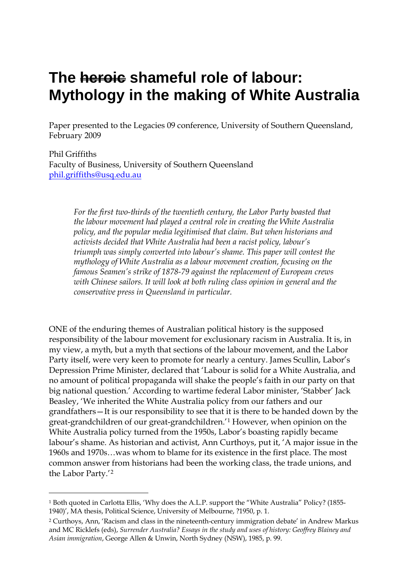## **The heroic shameful role of labour: Mythology in the making of White Australia**

Paper presented to the Legacies 09 conference, University of Southern Queensland, February 2009

Phil Griffiths Faculty of Business, University of Southern Queensland [phil.griffiths@usq.edu.au](mailto:phil.griffiths@usq.edu.au)

> *For the first two-thirds of the twentieth century, the Labor Party boasted that the labour movement had played a central role in creating the White Australia policy, and the popular media legitimised that claim. But when historians and activists decided that White Australia had been a racist policy, labour's triumph was simply converted into labour's shame. This paper will contest the mythology of White Australia as a labour movement creation, focusing on the famous Seamen's strike of 1878-79 against the replacement of European crews with Chinese sailors. It will look at both ruling class opinion in general and the conservative press in Queensland in particular.*

ONE of the enduring themes of Australian political history is the supposed responsibility of the labour movement for exclusionary racism in Australia. It is, in my view, a myth, but a myth that sections of the labour movement, and the Labor Party itself, were very keen to promote for nearly a century. James Scullin, Labor's Depression Prime Minister, declared that 'Labour is solid for a White Australia, and no amount of political propaganda will shake the people's faith in our party on that big national question.' According to wartime federal Labor minister, 'Stabber' Jack Beasley, 'We inherited the White Australia policy from our fathers and our grandfathers—It is our responsibility to see that it is there to be handed down by the great-grandchildren of our great-grandchildren.'[1](#page-0-0) However, when opinion on the White Australia policy turned from the 1950s, Labor's boasting rapidly became labour's shame. As historian and activist, Ann Curthoys, put it, 'A major issue in the 1960s and 1970s…was whom to blame for its existence in the first place. The most common answer from historians had been the working class, the trade unions, and the Labor Party.'[2](#page-0-1)

<span id="page-0-0"></span><sup>&</sup>lt;sup>1</sup> Both quoted in Carlotta Ellis, 'Why does the A.L.P. support the "White Australia" Policy? (1855-1940)', MA thesis, Political Science, University of Melbourne, ?1950, p. 1.

<span id="page-0-1"></span><sup>2</sup> Curthoys, Ann, 'Racism and class in the nineteenth-century immigration debate' in Andrew Markus and MC Ricklefs (eds), *Surrender Australia? Essays in the study and uses of history: Geoffrey Blainey and Asian immigration*, George Allen & Unwin, North Sydney (NSW), 1985, p. 99.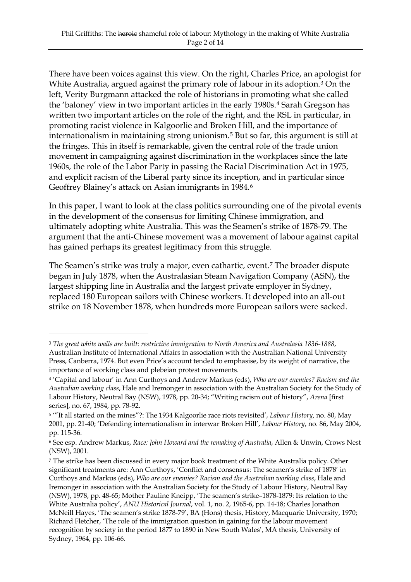There have been voices against this view. On the right, Charles Price, an apologist for White Australia, argued against the primary role of labour in its adoption.[3](#page-1-0) On the left, Verity Burgmann attacked the role of historians in promoting what she called the 'baloney' view in two important articles in the early 1980s.[4](#page-1-1) Sarah Gregson has written two important articles on the role of the right, and the RSL in particular, in promoting racist violence in Kalgoorlie and Broken Hill, and the importance of internationalism in maintaining strong unionism.[5](#page-1-2) But so far, this argument is still at the fringes. This in itself is remarkable, given the central role of the trade union movement in campaigning against discrimination in the workplaces since the late 1960s, the role of the Labor Party in passing the Racial Discrimination Act in 1975, and explicit racism of the Liberal party since its inception, and in particular since Geoffrey Blainey's attack on Asian immigrants in 1984.[6](#page-1-3)

In this paper, I want to look at the class politics surrounding one of the pivotal events in the development of the consensus for limiting Chinese immigration, and ultimately adopting white Australia. This was the Seamen's strike of 1878-79. The argument that the anti-Chinese movement was a movement of labour against capital has gained perhaps its greatest legitimacy from this struggle.

The Seamen's strike was truly a major, even cathartic, event. [7](#page-1-4) The broader dispute began in July 1878, when the Australasian Steam Navigation Company (ASN), the largest shipping line in Australia and the largest private employer in Sydney, replaced 180 European sailors with Chinese workers. It developed into an all-out strike on 18 November 1878, when hundreds more European sailors were sacked.

<span id="page-1-0"></span><sup>3</sup> *The great white walls are built: restrictive immigration to North America and Australasia 1836-1888*, Australian Institute of International Affairs in association with the Australian National University Press, Canberra, 1974. But even Price's account tended to emphasise, by its weight of narrative, the importance of working class and plebeian protest movements.

<span id="page-1-1"></span><sup>4</sup> 'Capital and labour' in Ann Curthoys and Andrew Markus (eds), *Who are our enemies? Racism and the Australian working class*, Hale and Iremonger in association with the Australian Society for the Study of Labour History, Neutral Bay (NSW), 1978, pp. 20-34; "Writing racism out of history", *Arena* [first series], no. 67, 1984, pp. 78-92.

<span id="page-1-2"></span><sup>5</sup> '"It all started on the mines"?: The 1934 Kalgoorlie race riots revisited', *Labour History*, no. 80, May 2001, pp. 21-40; 'Defending internationalism in interwar Broken Hill', *Labour History*, no. 86, May 2004, pp. 115-36.

<span id="page-1-3"></span><sup>6</sup> See esp. Andrew Markus, *Race: John Howard and the remaking of Australia*, Allen & Unwin, Crows Nest (NSW), 2001.

<span id="page-1-4"></span><sup>7</sup> The strike has been discussed in every major book treatment of the White Australia policy. Other significant treatments are: Ann Curthoys, 'Conflict and consensus: The seamen's strike of 1878' in Curthoys and Markus (eds), *Who are our enemies? Racism and the Australian working class*, Hale and Iremonger in association with the Australian Society for the Study of Labour History, Neutral Bay (NSW), 1978, pp. 48-65; Mother Pauline Kneipp, 'The seamen's strike–1878-1879: Its relation to the White Australia policy', *ANU Historical Journal*, vol. 1, no. 2, 1965-6, pp. 14-18; Charles Jonathon McNeill Hayes, 'The seamen's strike 1878-79', BA (Hons) thesis, History, Macquarie University, 1970; Richard Fletcher, 'The role of the immigration question in gaining for the labour movement recognition by society in the period 1877 to 1890 in New South Wales', MA thesis, University of Sydney, 1964, pp. 106-66.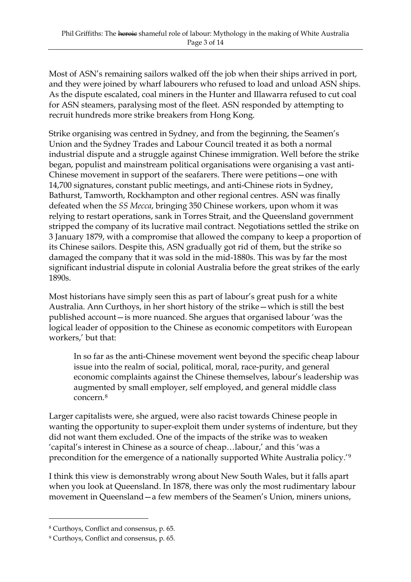Most of ASN's remaining sailors walked off the job when their ships arrived in port, and they were joined by wharf labourers who refused to load and unload ASN ships. As the dispute escalated, coal miners in the Hunter and Illawarra refused to cut coal for ASN steamers, paralysing most of the fleet. ASN responded by attempting to recruit hundreds more strike breakers from Hong Kong.

Strike organising was centred in Sydney, and from the beginning, the Seamen's Union and the Sydney Trades and Labour Council treated it as both a normal industrial dispute and a struggle against Chinese immigration. Well before the strike began, populist and mainstream political organisations were organising a vast anti-Chinese movement in support of the seafarers. There were petitions—one with 14,700 signatures, constant public meetings, and anti-Chinese riots in Sydney, Bathurst, Tamworth, Rockhampton and other regional centres. ASN was finally defeated when the *SS Mecca*, bringing 350 Chinese workers, upon whom it was relying to restart operations, sank in Torres Strait, and the Queensland government stripped the company of its lucrative mail contract. Negotiations settled the strike on 3 January 1879, with a compromise that allowed the company to keep a proportion of its Chinese sailors. Despite this, ASN gradually got rid of them, but the strike so damaged the company that it was sold in the mid-1880s. This was by far the most significant industrial dispute in colonial Australia before the great strikes of the early 1890s.

Most historians have simply seen this as part of labour's great push for a white Australia. Ann Curthoys, in her short history of the strike—which is still the best published account—is more nuanced. She argues that organised labour 'was the logical leader of opposition to the Chinese as economic competitors with European workers,' but that:

In so far as the anti-Chinese movement went beyond the specific cheap labour issue into the realm of social, political, moral, race-purity, and general economic complaints against the Chinese themselves, labour's leadership was augmented by small employer, self employed, and general middle class concern.[8](#page-2-0)

Larger capitalists were, she argued, were also racist towards Chinese people in wanting the opportunity to super-exploit them under systems of indenture, but they did not want them excluded. One of the impacts of the strike was to weaken 'capital's interest in Chinese as a source of cheap…labour,' and this 'was a precondition for the emergence of a nationally supported White Australia policy.'[9](#page-2-1)

I think this view is demonstrably wrong about New South Wales, but it falls apart when you look at Queensland. In 1878, there was only the most rudimentary labour movement in Queensland—a few members of the Seamen's Union, miners unions,

-

<span id="page-2-0"></span><sup>8</sup> Curthoys, Conflict and consensus, p. 65.

<span id="page-2-1"></span><sup>9</sup> Curthoys, Conflict and consensus, p. 65.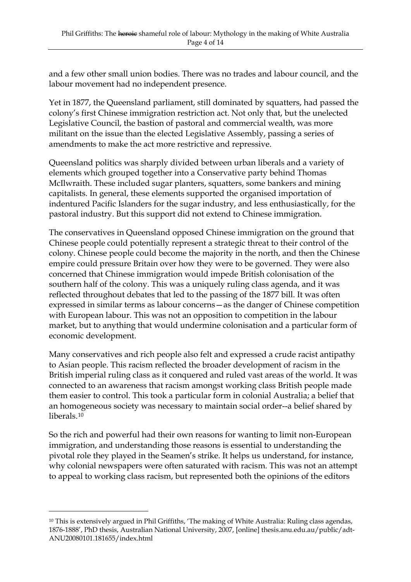and a few other small union bodies. There was no trades and labour council, and the labour movement had no independent presence.

Yet in 1877, the Queensland parliament, still dominated by squatters, had passed the colony's first Chinese immigration restriction act. Not only that, but the unelected Legislative Council, the bastion of pastoral and commercial wealth, was more militant on the issue than the elected Legislative Assembly, passing a series of amendments to make the act more restrictive and repressive.

Queensland politics was sharply divided between urban liberals and a variety of elements which grouped together into a Conservative party behind Thomas McIlwraith. These included sugar planters, squatters, some bankers and mining capitalists. In general, these elements supported the organised importation of indentured Pacific Islanders for the sugar industry, and less enthusiastically, for the pastoral industry. But this support did not extend to Chinese immigration.

The conservatives in Queensland opposed Chinese immigration on the ground that Chinese people could potentially represent a strategic threat to their control of the colony. Chinese people could become the majority in the north, and then the Chinese empire could pressure Britain over how they were to be governed. They were also concerned that Chinese immigration would impede British colonisation of the southern half of the colony. This was a uniquely ruling class agenda, and it was reflected throughout debates that led to the passing of the 1877 bill. It was often expressed in similar terms as labour concerns—as the danger of Chinese competition with European labour. This was not an opposition to competition in the labour market, but to anything that would undermine colonisation and a particular form of economic development.

Many conservatives and rich people also felt and expressed a crude racist antipathy to Asian people. This racism reflected the broader development of racism in the British imperial ruling class as it conquered and ruled vast areas of the world. It was connected to an awareness that racism amongst working class British people made them easier to control. This took a particular form in colonial Australia; a belief that an homogeneous society was necessary to maintain social order--a belief shared by liberals<sup>[10](#page-3-0)</sup>

So the rich and powerful had their own reasons for wanting to limit non-European immigration, and understanding those reasons is essential to understanding the pivotal role they played in the Seamen's strike. It helps us understand, for instance, why colonial newspapers were often saturated with racism. This was not an attempt to appeal to working class racism, but represented both the opinions of the editors

-

<span id="page-3-0"></span><sup>10</sup> This is extensively argued in Phil Griffiths, 'The making of White Australia: Ruling class agendas, 1876-1888', PhD thesis, Australian National University, 2007, [online] thesis.anu.edu.au/public/adt-ANU20080101.181655/index.html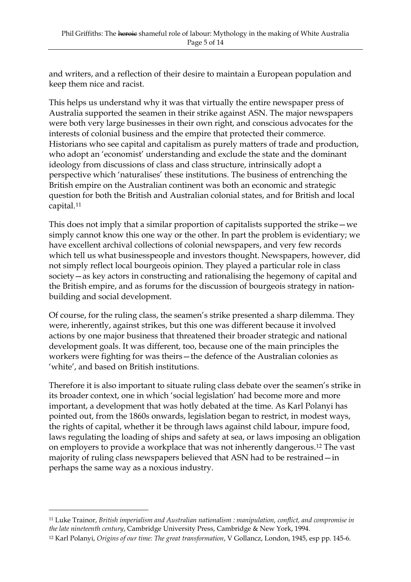and writers, and a reflection of their desire to maintain a European population and keep them nice and racist.

This helps us understand why it was that virtually the entire newspaper press of Australia supported the seamen in their strike against ASN. The major newspapers were both very large businesses in their own right, and conscious advocates for the interests of colonial business and the empire that protected their commerce. Historians who see capital and capitalism as purely matters of trade and production, who adopt an 'economist' understanding and exclude the state and the dominant ideology from discussions of class and class structure, intrinsically adopt a perspective which 'naturalises' these institutions. The business of entrenching the British empire on the Australian continent was both an economic and strategic question for both the British and Australian colonial states, and for British and local capital.[11](#page-4-0)

This does not imply that a similar proportion of capitalists supported the strike—we simply cannot know this one way or the other. In part the problem is evidentiary; we have excellent archival collections of colonial newspapers, and very few records which tell us what businesspeople and investors thought. Newspapers, however, did not simply reflect local bourgeois opinion. They played a particular role in class society—as key actors in constructing and rationalising the hegemony of capital and the British empire, and as forums for the discussion of bourgeois strategy in nationbuilding and social development.

Of course, for the ruling class, the seamen's strike presented a sharp dilemma. They were, inherently, against strikes, but this one was different because it involved actions by one major business that threatened their broader strategic and national development goals. It was different, too, because one of the main principles the workers were fighting for was theirs—the defence of the Australian colonies as 'white', and based on British institutions.

Therefore it is also important to situate ruling class debate over the seamen's strike in its broader context, one in which 'social legislation' had become more and more important, a development that was hotly debated at the time. As Karl Polanyi has pointed out, from the 1860s onwards, legislation began to restrict, in modest ways, the rights of capital, whether it be through laws against child labour, impure food, laws regulating the loading of ships and safety at sea, or laws imposing an obligation on employers to provide a workplace that was not inherently dangerous. [12](#page-4-1) The vast majority of ruling class newspapers believed that ASN had to be restrained—in perhaps the same way as a noxious industry.

<span id="page-4-0"></span><sup>11</sup> Luke Trainor, *British imperialism and Australian nationalism : manipulation, conflict, and compromise in the late nineteenth century*, Cambridge University Press, Cambridge & New York, 1994.

<span id="page-4-1"></span><sup>12</sup> Karl Polanyi, *Origins of our time: The great transformation*, V Gollancz, London, 1945, esp pp. 145-6.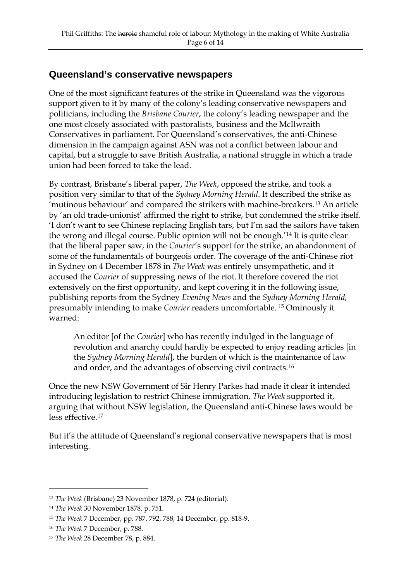## **Queensland's conservative newspapers**

One of the most significant features of the strike in Queensland was the vigorous support given to it by many of the colony's leading conservative newspapers and politicians, including the *Brisbane Courier*, the colony's leading newspaper and the one most closely associated with pastoralists, business and the McIlwraith Conservatives in parliament. For Queensland's conservatives, the anti-Chinese dimension in the campaign against ASN was not a conflict between labour and capital, but a struggle to save British Australia, a national struggle in which a trade union had been forced to take the lead.

By contrast, Brisbane's liberal paper, *The Week*, opposed the strike, and took a position very similar to that of the *Sydney Morning Herald*. It described the strike as 'mutinous behaviour' and compared the strikers with machine-breakers.[13](#page-5-0) An article by 'an old trade-unionist' affirmed the right to strike, but condemned the strike itself. 'I don't want to see Chinese replacing English tars, but I'm sad the sailors have taken the wrong and illegal course. Public opinion will not be enough.'[14](#page-5-1) It is quite clear that the liberal paper saw, in the *Courier*'s support for the strike, an abandonment of some of the fundamentals of bourgeois order. The coverage of the anti-Chinese riot in Sydney on 4 December 1878 in *The Week* was entirely unsympathetic, and it accused the *Courier* of suppressing news of the riot. It therefore covered the riot extensively on the first opportunity, and kept covering it in the following issue, publishing reports from the Sydney *Evening News* and the *Sydney Morning Herald*, presumably intending to make *Courier* readers uncomfortable. [15](#page-5-2) Ominously it warned:

An editor [of the *Courier*] who has recently indulged in the language of revolution and anarchy could hardly be expected to enjoy reading articles [in the *Sydney Morning Herald*], the burden of which is the maintenance of law and order, and the advantages of observing civil contracts. [16](#page-5-3)

Once the new NSW Government of Sir Henry Parkes had made it clear it intended introducing legislation to restrict Chinese immigration, *The Week* supported it, arguing that without NSW legislation, the Queensland anti-Chinese laws would be less effective.[17](#page-5-4)

But it's the attitude of Queensland's regional conservative newspapers that is most interesting.

<span id="page-5-0"></span><sup>13</sup> *The Week* (Brisbane) 23 November 1878, p. 724 (editorial).

<span id="page-5-1"></span><sup>14</sup> *The Week* 30 November 1878, p. 751.

<span id="page-5-2"></span><sup>15</sup> *The Week* 7 December, pp. 787, 792, 788; 14 December, pp. 818-9.

<span id="page-5-3"></span><sup>16</sup> *The Week* 7 December, p. 788.

<span id="page-5-4"></span><sup>17</sup> *The Week* 28 December 78, p. 884.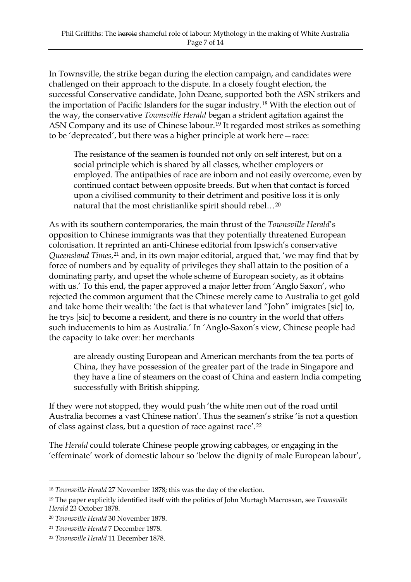In Townsville, the strike began during the election campaign, and candidates were challenged on their approach to the dispute. In a closely fought election, the successful Conservative candidate, John Deane, supported both the ASN strikers and the importation of Pacific Islanders for the sugar industry.[18](#page-6-0) With the election out of the way, the conservative *Townsville Herald* began a strident agitation against the ASN Company and its use of Chinese labour.<sup>[19](#page-6-1)</sup> It regarded most strikes as something to be 'deprecated', but there was a higher principle at work here—race:

The resistance of the seamen is founded not only on self interest, but on a social principle which is shared by all classes, whether employers or employed. The antipathies of race are inborn and not easily overcome, even by continued contact between opposite breeds. But when that contact is forced upon a civilised community to their detriment and positive loss it is only natural that the most christianlike spirit should rebel… [20](#page-6-2)

As with its southern contemporaries, the main thrust of the *Townsville Herald*'s opposition to Chinese immigrants was that they potentially threatened European colonisation. It reprinted an anti-Chinese editorial from Ipswich's conservative Queensland Times,<sup>[21](#page-6-3)</sup> and, in its own major editorial, argued that, 'we may find that by force of numbers and by equality of privileges they shall attain to the position of a dominating party, and upset the whole scheme of European society, as it obtains with us.' To this end, the paper approved a major letter from 'Anglo Saxon', who rejected the common argument that the Chinese merely came to Australia to get gold and take home their wealth: 'the fact is that whatever land "John" imigrates [sic] to, he trys [sic] to become a resident, and there is no country in the world that offers such inducements to him as Australia.' In 'Anglo-Saxon's view, Chinese people had the capacity to take over: her merchants

are already ousting European and American merchants from the tea ports of China, they have possession of the greater part of the trade in Singapore and they have a line of steamers on the coast of China and eastern India competing successfully with British shipping.

If they were not stopped, they would push 'the white men out of the road until Australia becomes a vast Chinese nation'. Thus the seamen's strike 'is not a question of class against class, but a question of race against race'. [22](#page-6-4)

The *Herald* could tolerate Chinese people growing cabbages, or engaging in the 'effeminate' work of domestic labour so 'below the dignity of male European labour',

<span id="page-6-0"></span><sup>18</sup> *Townsville Herald* 27 November 1878; this was the day of the election.

<span id="page-6-1"></span><sup>19</sup> The paper explicitly identified itself with the politics of John Murtagh Macrossan, see *Townsville Herald* 23 October 1878.

<span id="page-6-2"></span><sup>20</sup> *Townsville Herald* 30 November 1878.

<span id="page-6-3"></span><sup>21</sup> *Townsville Herald* 7 December 1878.

<span id="page-6-4"></span><sup>22</sup> *Townsville Herald* 11 December 1878.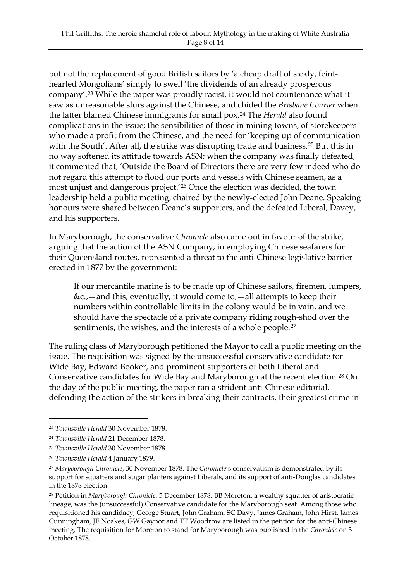but not the replacement of good British sailors by 'a cheap draft of sickly, feinthearted Mongolians' simply to swell 'the dividends of an already prosperous company'.[23](#page-7-0) While the paper was proudly racist, it would not countenance what it saw as unreasonable slurs against the Chinese, and chided the *Brisbane Courier* when the latter blamed Chinese immigrants for small pox.[24](#page-7-1) The *Herald* also found complications in the issue; the sensibilities of those in mining towns, of storekeepers who made a profit from the Chinese, and the need for 'keeping up of communication with the South'. After all, the strike was disrupting trade and business.<sup>[25](#page-7-2)</sup> But this in no way softened its attitude towards ASN; when the company was finally defeated, it commented that, 'Outside the Board of Directors there are very few indeed who do not regard this attempt to flood our ports and vessels with Chinese seamen, as a most unjust and dangerous project.'[26](#page-7-3) Once the election was decided, the town leadership held a public meeting, chaired by the newly-elected John Deane. Speaking honours were shared between Deane's supporters, and the defeated Liberal, Davey, and his supporters.

In Maryborough, the conservative *Chronicle* also came out in favour of the strike, arguing that the action of the ASN Company, in employing Chinese seafarers for their Queensland routes, represented a threat to the anti-Chinese legislative barrier erected in 1877 by the government:

If our mercantile marine is to be made up of Chinese sailors, firemen, lumpers,  $&c$ ,  $-$  and this, eventually, it would come to,  $-$  all attempts to keep their numbers within controllable limits in the colony would be in vain, and we should have the spectacle of a private company riding rough-shod over the sentiments, the wishes, and the interests of a whole people. [27](#page-7-4)

The ruling class of Maryborough petitioned the Mayor to call a public meeting on the issue. The requisition was signed by the unsuccessful conservative candidate for Wide Bay, Edward Booker, and prominent supporters of both Liberal and Conservative candidates for Wide Bay and Maryborough at the recent election.<sup>[28](#page-7-5)</sup> On the day of the public meeting, the paper ran a strident anti-Chinese editorial, defending the action of the strikers in breaking their contracts, their greatest crime in

-

<span id="page-7-0"></span><sup>23</sup> *Townsville Herald* 30 November 1878.

<span id="page-7-1"></span><sup>24</sup> *Townsville Herald* 21 December 1878.

<span id="page-7-2"></span><sup>25</sup> *Townsville Herald* 30 November 1878.

<span id="page-7-3"></span><sup>26</sup> *Townsville Herald* 4 January 1879.

<span id="page-7-4"></span><sup>27</sup> *Maryborough Chronicle*, 30 November 1878. The *Chronicle*'s conservatism is demonstrated by its support for squatters and sugar planters against Liberals, and its support of anti-Douglas candidates in the 1878 election.

<span id="page-7-5"></span><sup>28</sup> Petition in *Maryborough Chronicle*, 5 December 1878. BB Moreton, a wealthy squatter of aristocratic lineage, was the (unsuccessful) Conservative candidate for the Maryborough seat. Among those who requisitioned his candidacy, George Stuart, John Graham, SC Davy, James Graham, John Hirst, James Cunningham, JE Noakes, GW Gaynor and TT Woodrow are listed in the petition for the anti-Chinese meeting. The requisition for Moreton to stand for Maryborough was published in the *Chronicle* on 3 October 1878.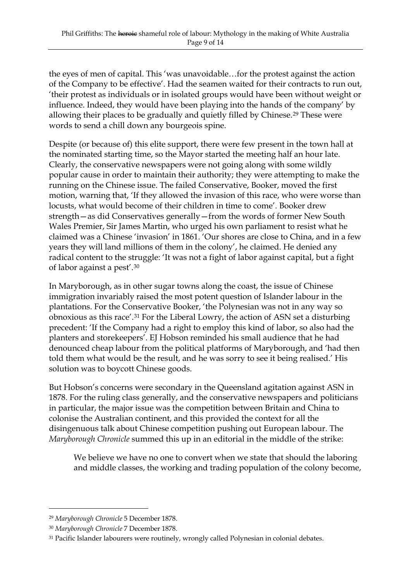the eyes of men of capital. This 'was unavoidable…for the protest against the action of the Company to be effective'. Had the seamen waited for their contracts to run out, 'their protest as individuals or in isolated groups would have been without weight or influence. Indeed, they would have been playing into the hands of the company' by allowing their places to be gradually and quietly filled by Chinese.<sup>[29](#page-8-0)</sup> These were words to send a chill down any bourgeois spine.

Despite (or because of) this elite support, there were few present in the town hall at the nominated starting time, so the Mayor started the meeting half an hour late. Clearly, the conservative newspapers were not going along with some wildly popular cause in order to maintain their authority; they were attempting to make the running on the Chinese issue. The failed Conservative, Booker, moved the first motion, warning that, 'If they allowed the invasion of this race, who were worse than locusts, what would become of their children in time to come'. Booker drew strength—as did Conservatives generally—from the words of former New South Wales Premier, Sir James Martin, who urged his own parliament to resist what he claimed was a Chinese 'invasion' in 1861. 'Our shores are close to China, and in a few years they will land millions of them in the colony', he claimed. He denied any radical content to the struggle: 'It was not a fight of labor against capital, but a fight of labor against a pest'. [30](#page-8-1)

In Maryborough, as in other sugar towns along the coast, the issue of Chinese immigration invariably raised the most potent question of Islander labour in the plantations. For the Conservative Booker, 'the Polynesian was not in any way so obnoxious as this race'.[31](#page-8-2) For the Liberal Lowry, the action of ASN set a disturbing precedent: 'If the Company had a right to employ this kind of labor, so also had the planters and storekeepers'. EJ Hobson reminded his small audience that he had denounced cheap labour from the political platforms of Maryborough, and 'had then told them what would be the result, and he was sorry to see it being realised.' His solution was to boycott Chinese goods.

But Hobson's concerns were secondary in the Queensland agitation against ASN in 1878. For the ruling class generally, and the conservative newspapers and politicians in particular, the major issue was the competition between Britain and China to colonise the Australian continent, and this provided the context for all the disingenuous talk about Chinese competition pushing out European labour. The *Maryborough Chronicle* summed this up in an editorial in the middle of the strike:

We believe we have no one to convert when we state that should the laboring and middle classes, the working and trading population of the colony become,

<span id="page-8-0"></span><sup>29</sup> *Maryborough Chronicle* 5 December 1878.

<span id="page-8-1"></span><sup>30</sup> *Maryborough Chronicle* 7 December 1878.

<span id="page-8-2"></span><sup>&</sup>lt;sup>31</sup> Pacific Islander labourers were routinely, wrongly called Polynesian in colonial debates.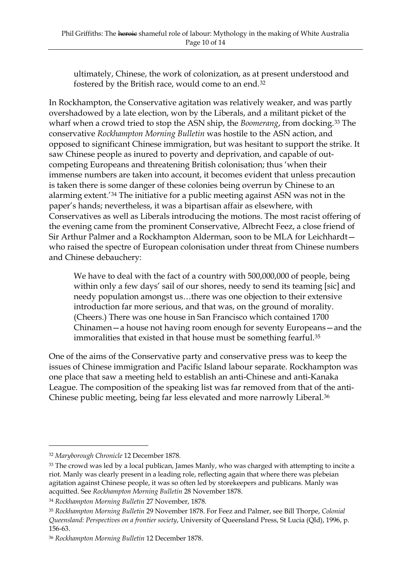ultimately, Chinese, the work of colonization, as at present understood and fostered by the British race, would come to an end.[32](#page-9-0)

In Rockhampton, the Conservative agitation was relatively weaker, and was partly overshadowed by a late election, won by the Liberals, and a militant picket of the wharf when a crowd tried to stop the ASN ship, the *Boomerang*, from docking.[33](#page-9-1) The conservative *Rockhampton Morning Bulletin* was hostile to the ASN action, and opposed to significant Chinese immigration, but was hesitant to support the strike. It saw Chinese people as inured to poverty and deprivation, and capable of outcompeting Europeans and threatening British colonisation; thus 'when their immense numbers are taken into account, it becomes evident that unless precaution is taken there is some danger of these colonies being overrun by Chinese to an alarming extent.'[34](#page-9-2) The initiative for a public meeting against ASN was not in the paper's hands; nevertheless, it was a bipartisan affair as elsewhere, with Conservatives as well as Liberals introducing the motions. The most racist offering of the evening came from the prominent Conservative, Albrecht Feez, a close friend of Sir Arthur Palmer and a Rockhampton Alderman, soon to be MLA for Leichhardt who raised the spectre of European colonisation under threat from Chinese numbers and Chinese debauchery:

We have to deal with the fact of a country with 500,000,000 of people, being within only a few days' sail of our shores, needy to send its teaming [sic] and needy population amongst us…there was one objection to their extensive introduction far more serious, and that was, on the ground of morality. (Cheers.) There was one house in San Francisco which contained 1700 Chinamen—a house not having room enough for seventy Europeans—and the immoralities that existed in that house must be something fearful. [35](#page-9-3)

One of the aims of the Conservative party and conservative press was to keep the issues of Chinese immigration and Pacific Island labour separate. Rockhampton was one place that saw a meeting held to establish an anti-Chinese and anti-Kanaka League. The composition of the speaking list was far removed from that of the anti-Chinese public meeting, being far less elevated and more narrowly Liberal.[36](#page-9-4)

<span id="page-9-0"></span><sup>32</sup> *Maryborough Chronicle* 12 December 1878.

<span id="page-9-1"></span><sup>&</sup>lt;sup>33</sup> The crowd was led by a local publican, James Manly, who was charged with attempting to incite a riot. Manly was clearly present in a leading role, reflecting again that where there was plebeian agitation against Chinese people, it was so often led by storekeepers and publicans. Manly was acquitted. See *Rockhampton Morning Bulletin* 28 November 1878.

<span id="page-9-2"></span><sup>34</sup> *Rockhampton Morning Bulletin* 27 November, 1878.

<span id="page-9-3"></span><sup>35</sup> *Rockhampton Morning Bulletin* 29 November 1878. For Feez and Palmer, see Bill Thorpe, *Colonial Queensland: Perspectives on a frontier society*, University of Queensland Press, St Lucia (Qld), 1996, p. 156-63.

<span id="page-9-4"></span><sup>36</sup> *Rockhampton Morning Bulletin* 12 December 1878.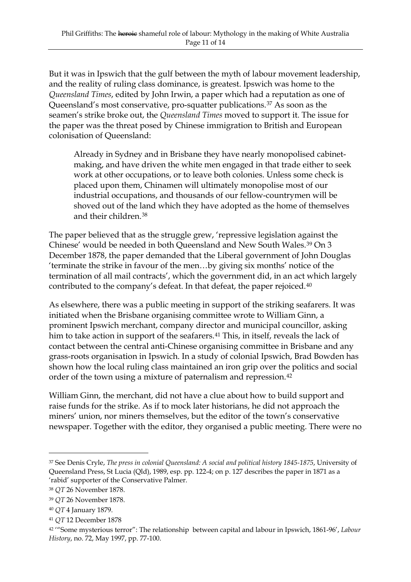But it was in Ipswich that the gulf between the myth of labour movement leadership, and the reality of ruling class dominance, is greatest. Ipswich was home to the *Queensland Times*, edited by John Irwin, a paper which had a reputation as one of Queensland's most conservative, pro-squatter publications.[37](#page-10-0) As soon as the seamen's strike broke out, the *Queensland Times* moved to support it. The issue for the paper was the threat posed by Chinese immigration to British and European colonisation of Queensland:

Already in Sydney and in Brisbane they have nearly monopolised cabinetmaking, and have driven the white men engaged in that trade either to seek work at other occupations, or to leave both colonies. Unless some check is placed upon them, Chinamen will ultimately monopolise most of our industrial occupations, and thousands of our fellow-countrymen will be shoved out of the land which they have adopted as the home of themselves and their children. [38](#page-10-1)

The paper believed that as the struggle grew, 'repressive legislation against the Chinese' would be needed in both Queensland and New South Wales.[39](#page-10-2) On 3 December 1878, the paper demanded that the Liberal government of John Douglas 'terminate the strike in favour of the men…by giving six months' notice of the termination of all mail contracts', which the government did, in an act which largely contributed to the company's defeat. In that defeat, the paper rejoiced.[40](#page-10-3)

As elsewhere, there was a public meeting in support of the striking seafarers. It was initiated when the Brisbane organising committee wrote to William Ginn, a prominent Ipswich merchant, company director and municipal councillor, asking him to take action in support of the seafarers.<sup>[41](#page-10-4)</sup> This, in itself, reveals the lack of contact between the central anti-Chinese organising committee in Brisbane and any grass-roots organisation in Ipswich. In a study of colonial Ipswich, Brad Bowden has shown how the local ruling class maintained an iron grip over the politics and social order of the town using a mixture of paternalism and repression.<sup>[42](#page-10-5)</sup>

William Ginn, the merchant, did not have a clue about how to build support and raise funds for the strike. As if to mock later historians, he did not approach the miners' union, nor miners themselves, but the editor of the town's conservative newspaper. Together with the editor, they organised a public meeting. There were no

<span id="page-10-0"></span><sup>37</sup> See Denis Cryle, *The press in colonial Queensland: A social and political history 1845-1875*, University of Queensland Press, St Lucia (Qld), 1989, esp. pp. 122-4; on p. 127 describes the paper in 1871 as a 'rabid' supporter of the Conservative Palmer.

<span id="page-10-1"></span><sup>38</sup> *QT* 26 November 1878.

<span id="page-10-2"></span><sup>39</sup> *QT* 26 November 1878.

<span id="page-10-3"></span><sup>40</sup> *QT* 4 January 1879.

<span id="page-10-4"></span><sup>41</sup> *QT* 12 December 1878

<span id="page-10-5"></span><sup>42</sup> '"Some mysterious terror": The relationship between capital and labour in Ipswich, 1861-96', *Labour History*, no. 72, May 1997, pp. 77-100.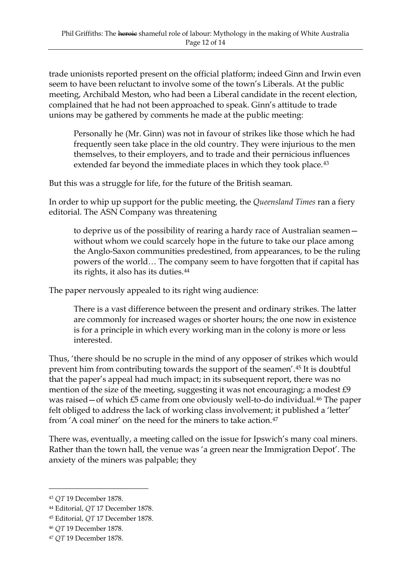trade unionists reported present on the official platform; indeed Ginn and Irwin even seem to have been reluctant to involve some of the town's Liberals. At the public meeting, Archibald Meston, who had been a Liberal candidate in the recent election, complained that he had not been approached to speak. Ginn's attitude to trade unions may be gathered by comments he made at the public meeting:

Personally he (Mr. Ginn) was not in favour of strikes like those which he had frequently seen take place in the old country. They were injurious to the men themselves, to their employers, and to trade and their pernicious influences extended far beyond the immediate places in which they took place.<sup>[43](#page-11-0)</sup>

But this was a struggle for life, for the future of the British seaman.

In order to whip up support for the public meeting, the *Queensland Times* ran a fiery editorial. The ASN Company was threatening

to deprive us of the possibility of rearing a hardy race of Australian seamen without whom we could scarcely hope in the future to take our place among the Anglo-Saxon communities predestined, from appearances, to be the ruling powers of the world… The company seem to have forgotten that if capital has its rights, it also has its duties. [44](#page-11-1)

The paper nervously appealed to its right wing audience:

There is a vast difference between the present and ordinary strikes. The latter are commonly for increased wages or shorter hours; the one now in existence is for a principle in which every working man in the colony is more or less interested.

Thus, 'there should be no scruple in the mind of any opposer of strikes which would prevent him from contributing towards the support of the seamen'. [45](#page-11-2) It is doubtful that the paper's appeal had much impact; in its subsequent report, there was no mention of the size of the meeting, suggesting it was not encouraging; a modest  $£9$ was raised - of which £5 came from one obviously well-to-do individual.<sup>[46](#page-11-3)</sup> The paper felt obliged to address the lack of working class involvement; it published a 'letter' from 'A coal miner' on the need for the miners to take action.<sup>[47](#page-11-4)</sup>

There was, eventually, a meeting called on the issue for Ipswich's many coal miners. Rather than the town hall, the venue was 'a green near the Immigration Depot'. The anxiety of the miners was palpable; they

<span id="page-11-0"></span><sup>43</sup> *QT* 19 December 1878.

<span id="page-11-1"></span><sup>44</sup> Editorial, *QT* 17 December 1878.

<span id="page-11-2"></span><sup>45</sup> Editorial, *QT* 17 December 1878.

<span id="page-11-3"></span><sup>46</sup> *QT* 19 December 1878.

<span id="page-11-4"></span><sup>47</sup> *QT* 19 December 1878.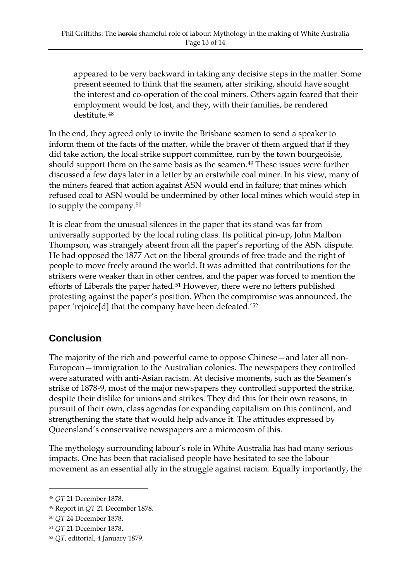appeared to be very backward in taking any decisive steps in the matter. Some present seemed to think that the seamen, after striking, should have sought the interest and co-operation of the coal miners. Others again feared that their employment would be lost, and they, with their families, be rendered destitute.[48](#page-12-0)

In the end, they agreed only to invite the Brisbane seamen to send a speaker to inform them of the facts of the matter, while the braver of them argued that if they did take action, the local strike support committee, run by the town bourgeoisie, should support them on the same basis as the seamen.<sup>[49](#page-12-1)</sup> These issues were further discussed a few days later in a letter by an erstwhile coal miner. In his view, many of the miners feared that action against ASN would end in failure; that mines which refused coal to ASN would be undermined by other local mines which would step in to supply the company.[50](#page-12-2)

It is clear from the unusual silences in the paper that its stand was far from universally supported by the local ruling class. Its political pin-up, John Malbon Thompson, was strangely absent from all the paper's reporting of the ASN dispute. He had opposed the 1877 Act on the liberal grounds of free trade and the right of people to move freely around the world. It was admitted that contributions for the strikers were weaker than in other centres, and the paper was forced to mention the efforts of Liberals the paper hated.<sup>[51](#page-12-3)</sup> However, there were no letters published protesting against the paper's position. When the compromise was announced, the paper 'rejoice[d] that the company have been defeated.'[52](#page-12-4)

## **Conclusion**

The majority of the rich and powerful came to oppose Chinese—and later all non-European—immigration to the Australian colonies. The newspapers they controlled were saturated with anti-Asian racism. At decisive moments, such as the Seamen's strike of 1878-9, most of the major newspapers they controlled supported the strike, despite their dislike for unions and strikes. They did this for their own reasons, in pursuit of their own, class agendas for expanding capitalism on this continent, and strengthening the state that would help advance it. The attitudes expressed by Queensland's conservative newspapers are a microcosm of this.

The mythology surrounding labour's role in White Australia has had many serious impacts. One has been that racialised people have hesitated to see the labour movement as an essential ally in the struggle against racism. Equally importantly, the

<span id="page-12-0"></span><sup>48</sup> *QT* 21 December 1878.

<span id="page-12-1"></span><sup>49</sup> Report in *QT* 21 December 1878.

<span id="page-12-2"></span><sup>50</sup> *QT* 24 December 1878.

<span id="page-12-3"></span><sup>51</sup> *QT* 21 December 1878.

<span id="page-12-4"></span><sup>52</sup> *QT*, editorial, 4 January 1879.